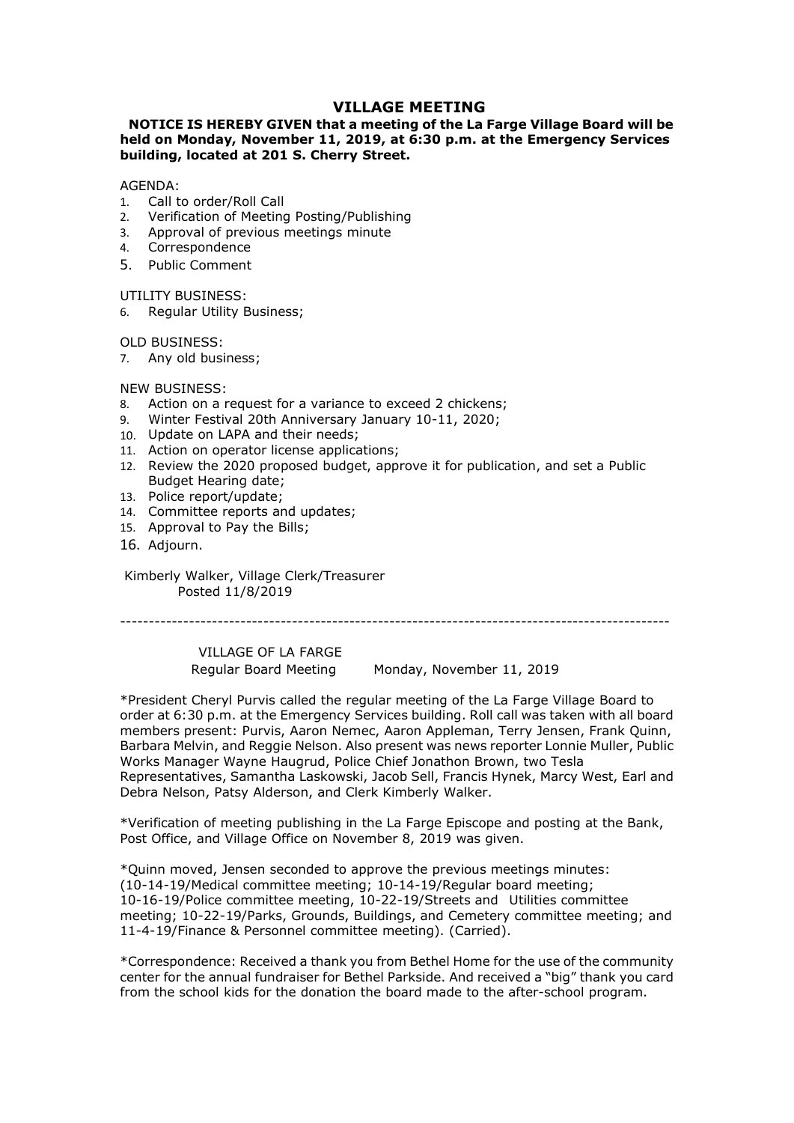# VILLAGE MEETING<br>at a meeting of the La Farge Village Board will be<br>l, 2019, at 6:30 p.m. at the Emergency Services<br>erry Street. **VILLAGE MEETING<br>NOTICE IS HEREBY GIVEN that a meeting of the La Farge Village Board will be<br>eld on Monday, November 11, 2019, at 6:30 p.m. at the Emergency Services<br>uilding, located at 201 S. Cherry Street.<br>Call to order/ VILLAGE MEETING<br>
WILLAGE MEETING**<br>
held on Monday, November 11, 2019, at 6:30 p.m. at the Emergency Services<br>
building, located at 201 S. Cherry Street.<br>
AGENDA:<br>  $\frac{1}{2}$  Call to order/Roll Call<br>
2. Verification of Meet **VILLAGE MEETING<br>
WILLAGE MEETING**<br> **held on Monday, November 11, 2019, at 6:30 p.m. at the Emergency Services**<br> **building, located at 201 S. Cherry Street.**<br>
AGENDA:<br>
1. Call to order/Roll Call<br>
2. Verification of Meeting **VILLAGE MEETING**<br> **NOTICE IS HEREBY GIVEN that a meeting of the La Farge Village Board will be<br>
held on Monday, November 11, 2019, at 6:30 p.m. at the Emergency Services<br>
building, located at 201 S. Cherry Street.<br>
AGENDA VILLAGE MEETING**<br> **VILLAGE MEETING**<br>
held on Monday, November 11, 2019, at 6:30 p.m. at the Emergency Services<br>
building, located at 201 S. Cherry Street.<br>
AGENDA:<br>
1. Call to order/Roll Call<br>
2. Verification of Meeting P **VILLAGE MEETING**<br> **NOTICE IS HEREBY GIVEN that a meeting of the La Farge Village Board will be<br>
held on Monday, November 11, 2019, at 6:30 p.m. at the Emergency Services<br>
building, located at 201 S. Cherry Street.<br>
AGENDA VILLAGE MEETING**<br> **VILLAGE MEETING**<br> **NOTICE IS HEREBY GIVEN that a meeting of the La Farge Village Board<br>
held on Monday, November 11, 2019, at 6:30 p.m. at the Emergency Se<br>
building, located at 201 S. Cherry Street.<br>
A VILLAGE MEETING**<br> **VILLAGE MEETING**<br> **NOTICE IS HEREBY GIVEN that a meeting of the La Farge Village Boat<br>
building, located at 201 S. Cherry Street.<br>
AGENDA:<br>
AGENDA:<br>
1. Call to order/Roll Call<br>
2. Verification of Meetin VILLAGE MEETING**<br> **NOTICE IS HEREBY GIVEN that a meeting of the La Farge Village Board will be<br>
held on Monday, November 11, 2019, at 6:30 p.m. at the Emergency Services<br>
building, located at 201 S. Cherry Street.<br>
AGENDA VILLAGE MEETING**<br> **VILLAGE MEETING**<br> **held on Monday, November 11, 2019, at 6:30 p.m. at the Emerger<br>
building, located at 201 S. Cherry Street.<br>
AGENDA:<br>
AGENDA:<br>
1. Call to order/Roll Call<br>
2. Verification of Meeting Po NOTICE IS HEREBY GIVEN WILLAGE MEETING**<br> **NOTICE IS HEREBY GIVEN that a meeting of the La Farge Village Board widel on Monday, November 11, 2019, at 6:30 p.m. at the Emergency Server<br>
AGENDA:<br>
ACENDA:<br>
1. Call to order/Ro VILLAGE MEETING**<br> **WILLAGE MEETING**<br> **held on Monday, November 11, 2019, at 6:30 p.m. at the Emergen<br>
building, located at 201 S. Cherry Street.<br>
AGENDA:<br>
1. Call to order/Roll Call<br>
2. Verification of Meeting Posting/Pub VILLAGE MEETING**<br> **NOTICE IS HEREBY GIVEN that a meeting of the La Farge Village Board will be<br>
huilding, located at 201 S. Cherry Street.<br>
AGENDA:<br>
AGENDA:<br>
ACENDA:<br>
2. Verification of Meeting Posting/Publishing<br>
2. Veri VILLAGE MEETING**<br> **NOTICE IS HEREBY GIVEN that a meeting of the La Farge Village Board will be<br>
held on Monday, November 11, 2019, at 6:30 p.m. at the Emergency Services<br>
building, located at 201 S. Cherry Street.<br>
1. Cal VILLAGE MEETING**<br> **NOTICE IS HEREBY GIVEN that a meeting of the La Farge Village Board will be<br>
huilding, located at 201 S. Cherry Street.<br>
AGENDA:<br>
AGENDA:<br>
1. Call to order/Roll Call<br>
1. Call to order/Roll Call<br>
2. Ver VILLAGE MEETING**<br> **VILLAGE MEETING**<br>
held on Monday, November 11, 2019, at 6:30 p.m. at the Emergency Services<br>
building, located at 201 S. Cherry Street.<br>
AGENDA:<br>
1. Call to order/Roll Call<br>
1. Call to order/Roll Call<br> **NOTICE IS HEREBY GIVEN that a meeting of the La Farge Village Board will be<br>
held on Monday, November 11, 2019, at 6:30 p.m. at the Emergency Services<br>
building, located at 201 S. Cherry Street.<br>
AGENDA:<br>
1. Call to order FILE 15 HEREF TOTYPT WINT CHAIRM CONDITION CONDUCT TO LATE THEAR THEAR (IN ON MONDAY, November 11, 2019, at 6:30 p.m. at the Emergency Services ding, located at 201 S. Cherry Street.**<br>NDA:<br>NDA:<br>NDA:<br>NEAR:<br>Werification of

## AGENDA:

- 
- 
- 
- 4. Correspondence
- 

- 
- 
- 
- 
- neu on montany, November 11, 2015, at 6:30 p.m. at the emergency secondinal political at 2015. Cherry Street.<br>
1. Call to order/Roll Call<br>
1. Call to order/Roll Call<br>
1. Call to order/Roll Call<br>
3. Approval of previous mee **AGENDA:**<br>
AGENDA:<br>
ACENDA:<br>
ACENDA:<br>
2. Verification of Meeting Posting/Publishing<br>
2. Approval of previous meetings minute<br>
4. Correspondence<br>
5. Public Comment<br>
4. Correspondence<br>
5. Public Comment<br>
4. Correspondence<br>
5 AGENDA:<br>
1. Call to order/Roll Call<br>
2. Verification of Meeting Posting/Publishing<br>
2. Verification of Meeting Posting/Publishing<br>
4. Correspondence<br>
5. Public Comment<br>
1. Correspondence<br>
5. Public Comment<br>
1. TILITY BUSIN Example of Previous meetings minutes<br>
K. Correspondence<br>
C. Correspondence<br>
TILITY BUSINESS:<br>
S. Public Comment<br>
TILITY BUSINESS:<br>
X. Public Comment<br>
VENDINESS:<br>
X. Action on a request for a variance to exceed 2 chickens;<br> bespondence<br>
espondence<br>
EComment<br>
SUSINESS:<br>
IIIESS:<br>
INESS:<br>
INESS:<br>
INESS:<br>
INESS:<br>
INESS:<br>
INESS:<br>
INESS:<br>
INESS:<br>
INESS:<br>
INESS:<br>
INESS:<br>
INESS:<br>
INESS:<br>
INESS:<br>
INESS:<br>
INENT distributed into a variance to exceed 2 c
- 
- 
- 
- 16. Adjourn.

orial The bost ender the ender the ender the ender the same of the and the same of the same of the same of the same of the same of the same of the same of the same of the same of the same of the same of the same of the sam FSS:<br>
ESS:<br>
Unsiness;<br>
Unsiness;<br>
Unsiness;<br>
On a request for a variance to exceed 2 chickens;<br>
restival 20th Anniversary January 10-11, 2020;<br>
on UAPA and their needs;<br>
the 2020 proposed buidet, approve it for publication our boosters.<br>
2. Any old business;<br>
2. Action on a request for a variance to exceed 2 chickens;<br>
2. Winter Festival 20th Anniversary January 10-11, 2020;<br>
2. Winter Festival 20th Anniversary January 10-11, 2020;<br>
2. Revie order at 6:30 p.m. at the Emergency Jamance to exceed 2 chickens;<br>
8. Action on a request for a variance to exceed 2 chickens;<br>
10. Update on LAPA and their reeds;<br>
10. Update on LAPA and their reeds;<br>
12. Review the 2020 NEW BUSINESS:<br>
8. Action on a request for a variance to exceed 2 chickens;<br>
9. Winter Festival 20th Anniversary January 10-11, 2020;<br>
10. Update on LAPA and their needs;<br>
11. Action on operator license applications;<br>
12. R Inter Persident Chromatons are availance to exceed 2 chickens;<br>
Barbara Melvin 2010 Anniversary January 10-11, 2020;<br>
10. Ulydate on LAPA and their needs;<br>
10. Ulydate on Depentor license applications;<br>
12. Review the 2020 s. Action or a request to a serience to exceed z cincering,<br>19. Winter Festival 20th Anniversary January 10-11, 2020;<br>11. Action on operator licenses;<br>11. Action on operator licenses applications;<br>12. Review the 2020 propo so Winter Heston Color animates any yarnary 10-11, 2020,<br>
10. Update on LAPA and their needs;<br>
12. Review the 2020 proposed budget, approve it for publication, and set a Public<br>
21.2 Review the 2020 proposed budget, approv 10. Optate in ear-A and orein recease,<br>
11. Action on operator license applications;<br>
11. Action con operator license applications;<br>
22. Review the 2020 proposed budget, approve it for publication, and set a Public<br>
Budge Extract the action of meeting date;<br>
A Police report typidate;<br>
14. Committee reports and updates;<br>
16. Adjourn.<br>
Kimberly Walker, Village Clerk/Treasurer<br>
Posted 11/8/2019<br>

Extracted 11/8/2019<br>

Extracted the Bank, Commi solution energy of the Committee meeting of the La Farge Endergy and Committee meeting.<br>
13. Approval to Pay the Bills;<br>
16. Adjourn.<br>
Kimberly Walker, Village Clerk/Treasurer<br>
Posted 11/8/2019<br>
President Cheryl Purvis cal 1. Committee reports and upureders of the United Tepleting (14-145) (Committee meetings in the previous meetings meetings minutes: The President Cheryl Purvis called the regular meeting of the La Farge Village Board to ord 15. Approven to rey the units,<br>
16. Adjourn.<br>
Kimberly Walker, Village Clerk/Treasurer<br>
Posted 11/8/2019<br>
"CILLAGE OF LA FARGE<br>
Regular Board Meeting Monday, November 11, 2019<br>
"Regislent Cheryl Purvis called the regular m 10. Adjourn.<br>
Kimberly Walker, Village Clerk/Treasurer<br>
Posted 11/8/2019<br>
"Posted 11/8/2019<br>
"Posted in the Smach Meeting<br>
"Monday, November 11, 2019<br>
"President Chery Purvis called the regular meeting of the La Farge Vill Kimberly Walker, Village Clerk/Treasurer<br>
"Posted 11/8/2019<br>
"Tresident Cheryl Purvis called the regular meeting of the La Farge Village Board to<br>
"Regular Board Meeting "Monday, November 11, 2019<br>
"President Cheryl Purvis Kimperry willare Clerk/Treasurer<br>
"Posted 11/8/2019<br>
"Posted 11/8/2019<br>
"President Chery Purvis called the regular meeting of the La Farge Village Board to<br>
"President Chery Purvis Clelled the regular meeting of the La Far \*Correspondence: Received a thank you from Bethel Home for the use of the community CHILIAGE OF LA FARGE<br>
Regular Board Meeting Monday, November 11, 2019<br>
The sident Cheryl Purvis called the regular meeting of the La Farge Village Board to<br>
order at 6:30 p.m. at the Emergency Services building. Roll call VILLAGE OF LA FARGE<br>
Regular Board Meeting Monday, November 11, 2019<br>
\*President Cheryl Purvis called the regular meeting of the La Farge Village Board to<br>
order at 6:30 p.m. at the Emergency Services building. Roll call w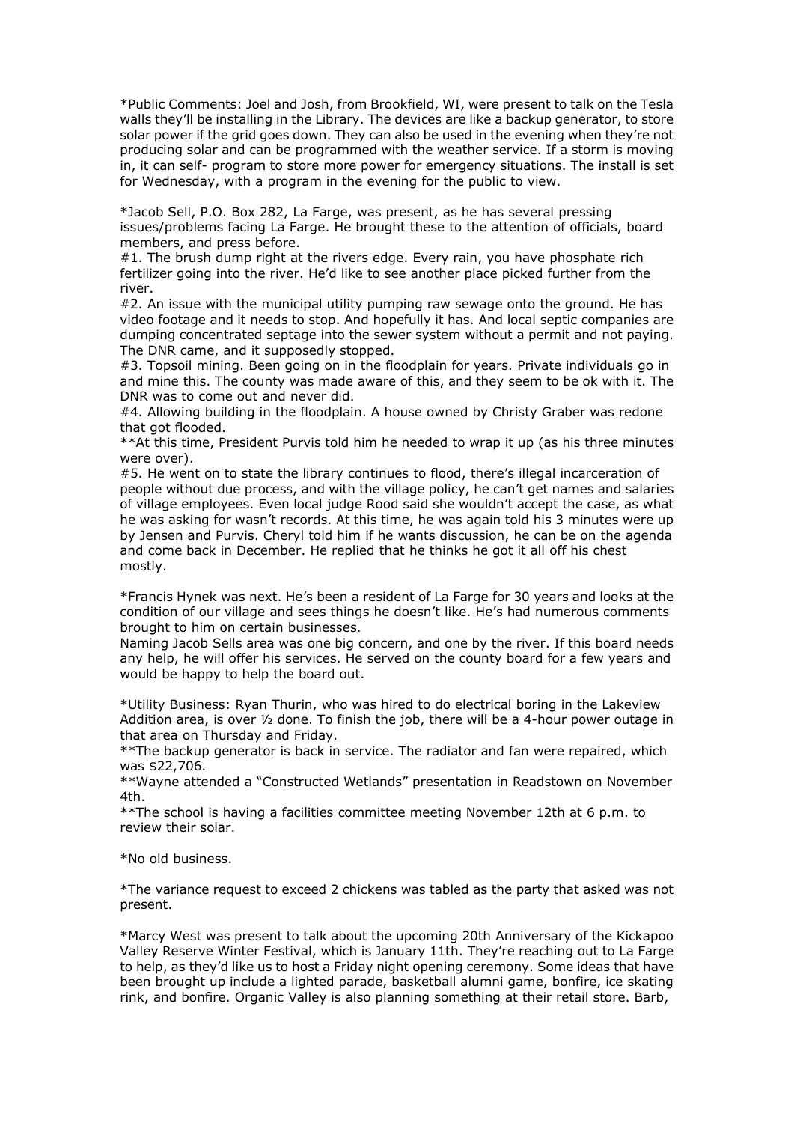\*Public Comments: Joel and Josh, from Brookfield, WI, were present to talk on the Tesla<br>walls they'll be installing in the Library. The devices are like a backup generator, to store<br>solar power if the grid goes down. They \*Public Comments: Joel and Josh, from Brookfield, WI, were present to talk on the Tesla<br>walls they'll be installing in the Library. The devices are like a backup generator, to store<br>solar power if the grid goes down. They \*Public Comments: Joel and Josh, from Brookfield, WI, were present to talk on the Tesla<br>walls they'll be installing in the Library. The devices are like a backup generator, to store<br>solar power if the grid goes down. They \*Public Comments: Joel and Josh, from Brookfield, WI, were present to talk on the Tesla<br>walls they'll be installing in the Library. The devices are like a backup generator, to store<br>solar power if the grid goes down. They \*Public Comments: Joel and Josh, from Brookfield, WI, were present to talk on the Tesla<br>walls they'll be installing in the Library. The devices are like a backup generator, to store<br>solar power if the grid goes down. They \*Public Comments: Joel and Josh, from Brookfield, WI, were present to talk on the Tesla<br>walls they'll be installing in the Library. The devices are like a backup generator, to store<br>solar power if the grid goes down. They \*Public Comments: Joel and Josh, from Brookfield, WI, were present to talk on the Tesla<br>walls they'll be installing in the Library. The devices are like a backup generator, to store<br>solar power if the grid goes down. They \*Public Comments: Joel and Josh, from Brookfield, WI, were present to talk on the Tesla<br>walls they'll be installing in the Library. The devices are like a backup generator, to store<br>solar power if the grid goes down. They \*Public Comments: Joel and Josh, from Brookfield, WI, were present to talk on the Tesla<br>walls they'll be installing in the Library. The devices are like a backup generator, to store<br>solar power if the grid goes down. They \*Public Comments: Joel and Josh, from Brookfield, WI, were present to talk on the Tesla<br>walls they'll be installing in the Library. The devices are like a backup generator, to store<br>producing solar and does down. They can **\*Public Comments:** Joel and Josh, from Brookfield, WI, were present to talk on the Tesla<br>
"walls they"l be installing in the Library. The devices are like a backup generator, to store<br>
solar power if the grid goes down. T \*Public Comments: Joel and Josh, from Brookfield, WI, were present to talk on the Tesla<br>walls they'll be installing in the Library. The devices are like a backup generator, to store<br>solar power if the grid goes down. They \*Public Comments: Joel and Josh, from Brookfield, WI, were present to talk on the Tesla<br>walls they'll be installing in the Library. The devices are like a backup generator, to store<br>solar power if the grid goes down. They \*Public Comments: Joel and Josh, from Brookfield, WI, were present to talk on the Tesla<br>volls they'll be installing in the Library. The devices are like a backup generator, to store<br>solar power if the grid goes down. They \*Public Comments: Joel and Josh, from Brookfield, WI, were present to talk on the Tesla<br>wals they'll be installing in the Library. The devices are like a backup generator, to store<br>solar power if the grid goes down. They c \*Public Comments: Joel and Josh, from Brookfield, WI, were present to talk on the Tesla<br>walls they'll be installing in the Library. The devices are like a backup generator, to store<br>producing solar and can be programmed w \*Public Comments: Joel and Josh, from Brookfield, WI, were present to talk on the Tesla<br>wals they'll be installing in the Library. The devices are like a backup generator, to store<br>solar power if the cird goes down. They c \*Public Comments: Joel and Josh, from Brookfield, WI, were present to talk on the Tesla<br>walls they'll be installing in the Library. The devices are like a backup generator, to store<br>solar power if the grid goes down. They \*Public Comments: Joel and Josh, from Brookfield, WI, were present to talk on the Tesla<br>valis they'll be installing in the Library. The devices are like a backup generator, to store<br>solar power if the grid goes down. They \*Public Comments: Joel and Josh, from Brookfield, WI, were present to talk on<br>walls they'll be installing in the Library. The devices are like a backup generato<br>solar power if the grid goes down. They can also be used in t \*Public Comments: Joel and Josh, from Brookfield, WI, were present to talk on the Tesla<br>wals they'll be installing in the Lubrary. The devices are like a backup generator, to store<br>producing solar and can be programed wit \*Public Comments: Joel and Josn, prom Brookleal, Wi, were present to talk<br>walls they'll be installing in the Library. The devices are like a backup gener<br>solar power if the grid goes down. They can also be used in the even

river.

wals they'll be installing in the Lurary. In elevents are like a backup generator, to store the proparmed with the weekling schara for the proparm in the centinues of in a tich is not in it can self- program to store more solar power if the grid goes down. I hey can also be used in the evering when the yer not<br>in, it can self- program to store more power for emergency situations. The install is set<br>for Wednesday, with a program in the eveni producing solar and can be programmed with the weather service. It a storm is moving<br>in, it can self- program to store more power for emergency situations. The install is set<br>for Wednesday, with a program in the evening fo in, it can sell the measure more power for emergency studions. I. he install is set<br>for Wednesday, with a program in the evening for the public to view.<br>
"Jacob Sell, P.O. Box 282, La Farge, was present, as he has several for weanesday, with a program in the evening for the public to view.<br>"Jacob Sell, P.O. Box 282, La Farge, was present, as he has several pressing<br>members, and press before.<br>"H. The brush diump right at the rivers edge. Eve \*Jacob Sell, P.O. Box 282, La Farge, was present, as he has several pressing<br>issues/problems facing La Farge. He brought these to the attention of officials, board<br>members, and press before.<br>
#1. The brush dump right at t mostly. members, and press beene.<br>
\*F. The brush dump right at the rivers edge. Every rain, you have phosphate rich fertilizer going into the river. He'd like to see another place picked further from the river.<br>
\*Five. An issue wi #1. In e brush dum prignt at the newers eage. Every rain, you have phospinate ncn<br>fertilizer going into the river. He'd like to see another place picked further from the<br>river.<br> $\vec{n}$ 2. An issue with the municipal utility fertilizer going into the muricipal utility pumping raw sewage onto the ground. He has  $\#2$ . An issue with the muricipal utility pumping raw sewage onto the ground. He has wideo footage and it needs to stop. And nopefully nver.<br>
The mass of the reds to stop. And hopefully it thas. And local septic companies are<br>
video footage and it needs to stop. And hopefully it has. And local septic companies are<br>
dumping concentrated septage into the se #2. An issue with the municipal utility pumping raw sewage onto the ground. He nas<br>
#video footage and it needs to stop. And hopefully it has. And local septic companies are<br>
dumping concentrated septage into the sever sys video footage and it needs to stop. And hoperluly it has. And local septic companies are<br>
diamping concentrated septage into the sewer system without a permit and not paying.<br>
The DNR came, and it supposedly stopped.<br>  $\#3$ The DNN came, and it supposed) stopped.<br>The DNN came, and it supposed was made aware of this, and they seem to be ok with it. The and mine this. The countly was made aware of this, and they seem to be ok with it. The DNR w #3. Topsoil mining. Been going on in the floodplain for years. Private individuals go in<br>and mine this. The county was made aware of this, and they seem to be ok with it. The<br>DNR was to come out and never did.<br>
#4. Allowin and mine this. Ine county was make aware of this, and they seem to be ok with it. The DMR was to come out and never did.<br>
Alk was to come out and never did.<br>
Alk was to come out and never did.<br>
Althow that got flooded.<br>
\*\* DNR was to come out and never did.<br>
We as to come out and neverator and the restore and the phack in service which go that got floods.<br>  $**A$  this time, President Purvis told him he needed to wrap it up (as his three minute #4. Allowing building in the hoodplain. A house owned by Christy Graber<br>that got flooded.<br>\*\*At this time, President Purvis told him he needed to wrap it up (as his<br>were over).<br>\*\*At this time, President Purvis told him he n that got frooded.<br>
We then the species the state in the medded to wrap it up (as his three minutes<br>
were over).<br>
We went on to state the library continues to flood, there's illegal incarceration of<br>  $\#S$ . He went on to st were over).<br>We see throw that the library continues to flood, there's illegal incarceration of<br>eystige people without due process, and with the village Rood said sire wouldn't accept the case, as what<br>phe was asking for wa #5. He went on to state the library continues to flood, there's illegal incarceration<br>epople without due process, and with the village policy, he can't get names and sis<br>of village employees. Even local judge Rood said she of village empioyees. Liven local judge Rood said she wouldn't accept the case<br>he was asking for wasn't records. At this time, he was again told his 3 minute<br>by Jensen and Purvis. Cheryl told him if he wants discussion, he

by Jensen and Purvis. Cheryl told him it he wants discussion, he can be on the agenda<br>and come back in December. He replied that he thinks he got it all off his chest<br>mostly.<br>The condition of our village and sees things he

4th.

present.

\*Francis Hynek was next. He's been a resident of La Farge for 30 years and looks at the condition of our village and sees things he doesn't like. He's had numerous comments Naming Jacob Sells area was one big concern, and \*Francis Hynek was next. He's been a resident or La Farge tor 30 years and looks at the<br>condition of our village and sees things he doesn't like. He's had numerous comments<br>brought to him on certain businesses.<br>
Naming Jac condition of curvillage and sees things he doesn't like. He's had numerous comments<br>
Norught to him on certain businesses.<br>
Naming Jacob Sells area was one big concern, and one by the river. If this board needs<br>
Naming Jac Brought to him on certain businesess.<br>
Brought to him on certain businesess.<br>
Alwainig Jacob Sells area was one big concern, and one by the river. If this board needs<br>
any help, he will offer his services. He served on the Whaming Jacob Seits area was one big concern, and one by the river. It fins board needs<br>any help, he will offer his services. He served on the country board for a few years and<br>would be happy to help the board out.<br>
\*\*Util